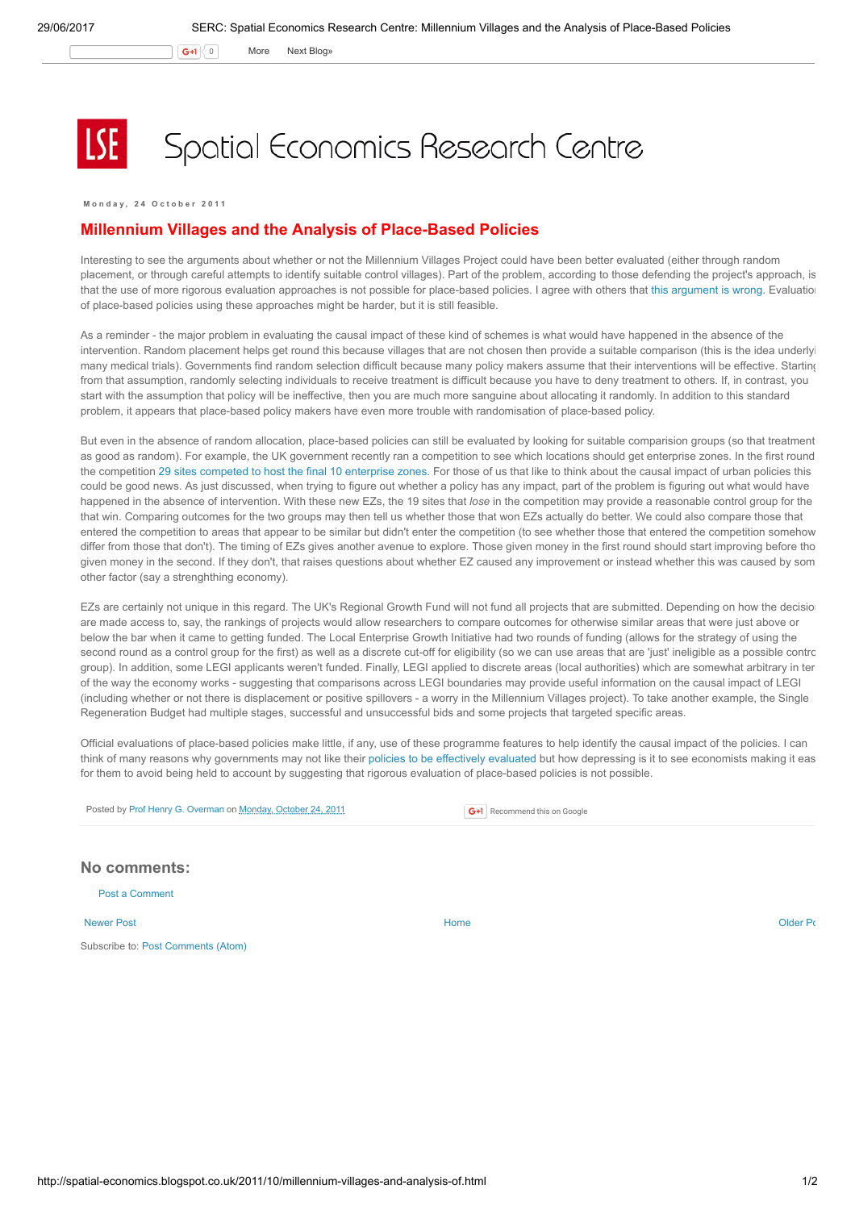$\mathsf{G}$ +1  $\vert$  0 More Next [Blog»](https://www.blogger.com/next-blog?navBar=true&blogID=974562301377041914)

Spatial Economics Research Centre

Monday, 24 October 2011

## Millennium Villages and the Analysis of Place-Based Policies

Interesting to see the arguments about whether or not the Millennium Villages Project could have been better evaluated (either through random placement, or through careful attempts to identify suitable control villages). Part of the problem, according to those defending the project's approach, is that the use of more rigorous evaluation approaches is not possible for place-based policies. I agree with others that this [argument](http://blogs.worldbank.org/impactevaluations/jeff-sachs-the-millennium-villages-project-and-misconceptions-about-impact-evaluation#comment-576) is wrong. Evaluation of place-based policies using these approaches might be harder, but it is still feasible.

As a reminder - the major problem in evaluating the causal impact of these kind of schemes is what would have happened in the absence of the intervention. Random placement helps get round this because villages that are not chosen then provide a suitable comparison (this is the idea underlying) many medical trials). Governments find random selection difficult because many policy makers assume that their interventions will be effective. Starting from that assumption, randomly selecting individuals to receive treatment is difficult because you have to deny treatment to others. If, in contrast, you start with the assumption that policy will be ineffective, then you are much more sanguine about allocating it randomly. In addition to this standard problem, it appears that place-based policy makers have even more trouble with randomisation of place-based policy.

But even in the absence of random allocation, place-based policies can still be evaluated by looking for suitable comparision groups (so that treatment as good as random). For example, the UK government recently ran a competition to see which locations should get enterprise zones. In the first round the competition 29 sites competed to host the final 10 [enterprise](http://www.communities.gov.uk/news/regeneration/1936436) zones. For those of us that like to think about the causal impact of urban policies this could be good news. As just discussed, when trying to figure out whether a policy has any impact, part of the problem is figuring out what would have happened in the absence of intervention. With these new EZs, the 19 sites that lose in the competition may provide a reasonable control group for the that win. Comparing outcomes for the two groups may then tell us whether those that won EZs actually do better. We could also compare those that entered the competition to areas that appear to be similar but didn't enter the competition (to see whether those that entered the competition somehow differ from those that don't). The timing of EZs gives another avenue to explore. Those given money in the first round should start improving before tho given money in the second. If they don't, that raises questions about whether EZ caused any improvement or instead whether this was caused by som other factor (say a strenghthing economy).

EZs are certainly not unique in this regard. The UK's Regional Growth Fund will not fund all projects that are submitted. Depending on how the decisio are made access to, say, the rankings of projects would allow researchers to compare outcomes for otherwise similar areas that were just above or below the bar when it came to getting funded. The Local Enterprise Growth Initiative had two rounds of funding (allows for the strategy of using the second round as a control group for the first) as well as a discrete cut-off for eligibility (so we can use areas that are 'just' ineligible as a possible control group). In addition, some LEGI applicants weren't funded. Finally, LEGI applied to discrete areas (local authorities) which are somewhat arbitrary in ter of the way the economy works - suggesting that comparisons across LEGI boundaries may provide useful information on the causal impact of LEGI (including whether or not there is displacement or positive spillovers - a worry in the Millennium Villages project). To take another example, the Single Regeneration Budget had multiple stages, successful and unsuccessful bids and some projects that targeted specific areas.

Official evaluations of place-based policies make little, if any, use of these programme features to help identify the causal impact of the policies. I can think of many reasons why governments may not like their policies to be [effectively](http://spatial-economics.blogspot.com/2011/07/open-evaluation-not-just-for-enterprise.html) evaluated but how depressing is it to see economists making it eas for them to avoid being held to account by suggesting that rigorous evaluation of place-based policies is not possible.

Posted by Prof Henry G. [Overman](https://www.blogger.com/profile/15203876610491317062) on [Monday,](http://spatial-economics.blogspot.co.uk/2011/10/millennium-villages-and-analysis-of.html) October 24, 2011

**G+1** Recommend this on Google

Post a [Comment](https://www.blogger.com/comment.g?blogID=974562301377041914&postID=1645873754671942272) No comments:

[Newer](http://spatial-economics.blogspot.co.uk/2011/10/radical-solutions-to-housing-crisis.html) Post and the contract of the contract of the contract [Home](http://spatial-economics.blogspot.co.uk/) contract of the contract of the contract of the contract of the contract of the contract of the contract of the contract of the contract of the contract of t

Subscribe to: Post [Comments](http://spatial-economics.blogspot.com/feeds/1645873754671942272/comments/default) (Atom)